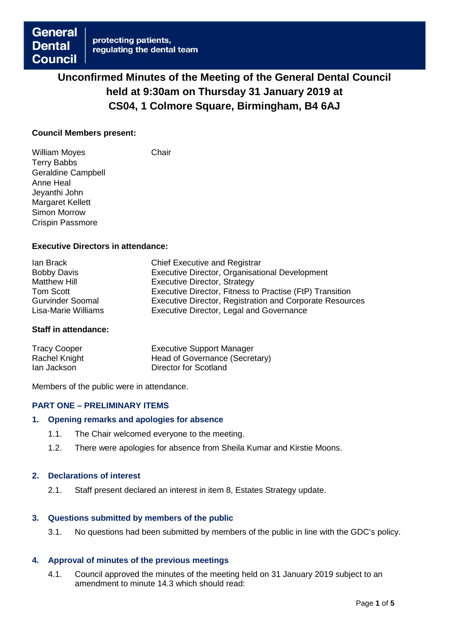# **Unconfirmed Minutes of the Meeting of the General Dental Council held at 9:30am on Thursday 31 January 2019 at CS04, 1 Colmore Square, Birmingham, B4 6AJ**

## **Council Members present:**

William Moyes **Chair** Terry Babbs Geraldine Campbell Anne Heal Jeyanthi John Margaret Kellett Simon Morrow Crispin Passmore

## **Executive Directors in attendance:**

| <b>Chief Executive and Registrar</b>                            |
|-----------------------------------------------------------------|
| Executive Director, Organisational Development                  |
| Executive Director, Strategy                                    |
| Executive Director, Fitness to Practise (FtP) Transition        |
| <b>Executive Director, Registration and Corporate Resources</b> |
| Executive Director, Legal and Governance                        |
|                                                                 |

#### **Staff in attendance:**

| <b>Tracy Cooper</b> | <b>Executive Support Manager</b> |
|---------------------|----------------------------------|
| Rachel Knight       | Head of Governance (Secretary)   |
| lan Jackson         | Director for Scotland            |

Members of the public were in attendance.

# **PART ONE – PRELIMINARY ITEMS**

#### **1. Opening remarks and apologies for absence**

- 1.1. The Chair welcomed everyone to the meeting.
- 1.2. There were apologies for absence from Sheila Kumar and Kirstie Moons.

#### **2. Declarations of interest**

2.1. Staff present declared an interest in item 8, Estates Strategy update.

#### **3. Questions submitted by members of the public**

3.1. No questions had been submitted by members of the public in line with the GDC's policy.

# **4. Approval of minutes of the previous meetings**

4.1. Council approved the minutes of the meeting held on 31 January 2019 subject to an amendment to minute 14.3 which should read: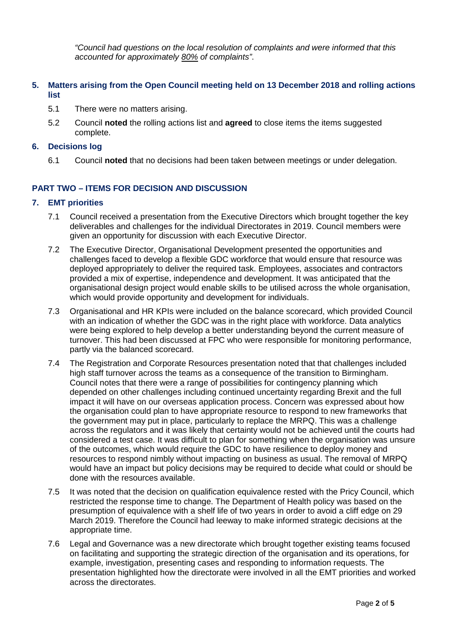*"Council had questions on the local resolution of complaints and were informed that this accounted for approximately 80% of complaints"*.

# **5. Matters arising from the Open Council meeting held on 13 December 2018 and rolling actions list**

- 5.1 There were no matters arising.
- 5.2 Council **noted** the rolling actions list and **agreed** to close items the items suggested complete.

## **6. Decisions log**

6.1 Council **noted** that no decisions had been taken between meetings or under delegation.

# **PART TWO – ITEMS FOR DECISION AND DISCUSSION**

## **7. EMT priorities**

- 7.1 Council received a presentation from the Executive Directors which brought together the key deliverables and challenges for the individual Directorates in 2019. Council members were given an opportunity for discussion with each Executive Director.
- 7.2 The Executive Director, Organisational Development presented the opportunities and challenges faced to develop a flexible GDC workforce that would ensure that resource was deployed appropriately to deliver the required task. Employees, associates and contractors provided a mix of expertise, independence and development. It was anticipated that the organisational design project would enable skills to be utilised across the whole organisation, which would provide opportunity and development for individuals.
- 7.3 Organisational and HR KPIs were included on the balance scorecard, which provided Council with an indication of whether the GDC was in the right place with workforce. Data analytics were being explored to help develop a better understanding beyond the current measure of turnover. This had been discussed at FPC who were responsible for monitoring performance, partly via the balanced scorecard.
- 7.4 The Registration and Corporate Resources presentation noted that that challenges included high staff turnover across the teams as a consequence of the transition to Birmingham. Council notes that there were a range of possibilities for contingency planning which depended on other challenges including continued uncertainty regarding Brexit and the full impact it will have on our overseas application process. Concern was expressed about how the organisation could plan to have appropriate resource to respond to new frameworks that the government may put in place, particularly to replace the MRPQ. This was a challenge across the regulators and it was likely that certainty would not be achieved until the courts had considered a test case. It was difficult to plan for something when the organisation was unsure of the outcomes, which would require the GDC to have resilience to deploy money and resources to respond nimbly without impacting on business as usual. The removal of MRPQ would have an impact but policy decisions may be required to decide what could or should be done with the resources available.
- 7.5 It was noted that the decision on qualification equivalence rested with the Pricy Council, which restricted the response time to change. The Department of Health policy was based on the presumption of equivalence with a shelf life of two years in order to avoid a cliff edge on 29 March 2019. Therefore the Council had leeway to make informed strategic decisions at the appropriate time.
- 7.6 Legal and Governance was a new directorate which brought together existing teams focused on facilitating and supporting the strategic direction of the organisation and its operations, for example, investigation, presenting cases and responding to information requests. The presentation highlighted how the directorate were involved in all the EMT priorities and worked across the directorates.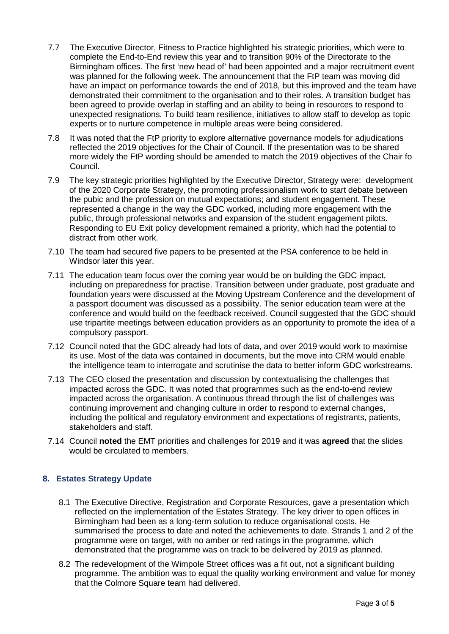- 7.7 The Executive Director, Fitness to Practice highlighted his strategic priorities, which were to complete the End-to-End review this year and to transition 90% of the Directorate to the Birmingham offices. The first 'new head of' had been appointed and a major recruitment event was planned for the following week. The announcement that the FtP team was moving did have an impact on performance towards the end of 2018, but this improved and the team have demonstrated their commitment to the organisation and to their roles. A transition budget has been agreed to provide overlap in staffing and an ability to being in resources to respond to unexpected resignations. To build team resilience, initiatives to allow staff to develop as topic experts or to nurture competence in multiple areas were being considered.
- 7.8 It was noted that the FtP priority to explore alternative governance models for adjudications reflected the 2019 objectives for the Chair of Council. If the presentation was to be shared more widely the FtP wording should be amended to match the 2019 objectives of the Chair fo Council.
- 7.9 The key strategic priorities highlighted by the Executive Director, Strategy were: development of the 2020 Corporate Strategy, the promoting professionalism work to start debate between the pubic and the profession on mutual expectations; and student engagement. These represented a change in the way the GDC worked, including more engagement with the public, through professional networks and expansion of the student engagement pilots. Responding to EU Exit policy development remained a priority, which had the potential to distract from other work.
- 7.10 The team had secured five papers to be presented at the PSA conference to be held in Windsor later this year.
- 7.11 The education team focus over the coming year would be on building the GDC impact, including on preparedness for practise. Transition between under graduate, post graduate and foundation years were discussed at the Moving Upstream Conference and the development of a passport document was discussed as a possibility. The senior education team were at the conference and would build on the feedback received. Council suggested that the GDC should use tripartite meetings between education providers as an opportunity to promote the idea of a compulsory passport.
- 7.12 Council noted that the GDC already had lots of data, and over 2019 would work to maximise its use. Most of the data was contained in documents, but the move into CRM would enable the intelligence team to interrogate and scrutinise the data to better inform GDC workstreams.
- 7.13 The CEO closed the presentation and discussion by contextualising the challenges that impacted across the GDC. It was noted that programmes such as the end-to-end review impacted across the organisation. A continuous thread through the list of challenges was continuing improvement and changing culture in order to respond to external changes, including the political and regulatory environment and expectations of registrants, patients, stakeholders and staff.
- 7.14 Council **noted** the EMT priorities and challenges for 2019 and it was **agreed** that the slides would be circulated to members.

# **8. Estates Strategy Update**

- 8.1 The Executive Directive, Registration and Corporate Resources, gave a presentation which reflected on the implementation of the Estates Strategy. The key driver to open offices in Birmingham had been as a long-term solution to reduce organisational costs. He summarised the process to date and noted the achievements to date. Strands 1 and 2 of the programme were on target, with no amber or red ratings in the programme, which demonstrated that the programme was on track to be delivered by 2019 as planned.
- 8.2 The redevelopment of the Wimpole Street offices was a fit out, not a significant building programme. The ambition was to equal the quality working environment and value for money that the Colmore Square team had delivered.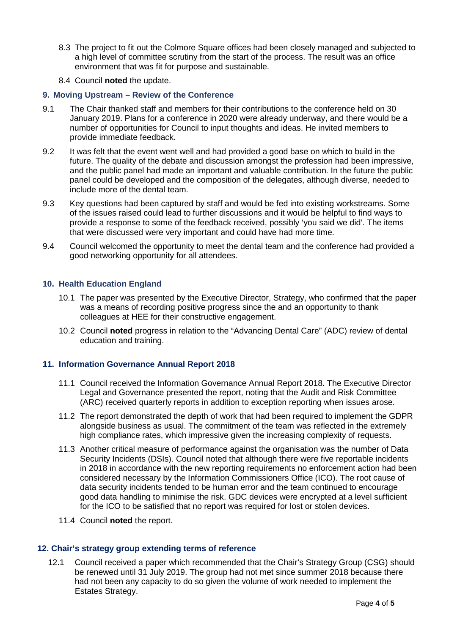- 8.3 The project to fit out the Colmore Square offices had been closely managed and subjected to a high level of committee scrutiny from the start of the process. The result was an office environment that was fit for purpose and sustainable.
- 8.4 Council **noted** the update.

## **9. Moving Upstream – Review of the Conference**

- 9.1 The Chair thanked staff and members for their contributions to the conference held on 30 January 2019. Plans for a conference in 2020 were already underway, and there would be a number of opportunities for Council to input thoughts and ideas. He invited members to provide immediate feedback.
- 9.2 It was felt that the event went well and had provided a good base on which to build in the future. The quality of the debate and discussion amongst the profession had been impressive, and the public panel had made an important and valuable contribution. In the future the public panel could be developed and the composition of the delegates, although diverse, needed to include more of the dental team.
- 9.3 Key questions had been captured by staff and would be fed into existing workstreams. Some of the issues raised could lead to further discussions and it would be helpful to find ways to provide a response to some of the feedback received, possibly 'you said we did'. The items that were discussed were very important and could have had more time.
- 9.4 Council welcomed the opportunity to meet the dental team and the conference had provided a good networking opportunity for all attendees.

## **10. Health Education England**

- 10.1 The paper was presented by the Executive Director, Strategy, who confirmed that the paper was a means of recording positive progress since the and an opportunity to thank colleagues at HEE for their constructive engagement.
- 10.2 Council **noted** progress in relation to the "Advancing Dental Care" (ADC) review of dental education and training.

# **11. Information Governance Annual Report 2018**

- 11.1 Council received the Information Governance Annual Report 2018. The Executive Director Legal and Governance presented the report, noting that the Audit and Risk Committee (ARC) received quarterly reports in addition to exception reporting when issues arose.
- 11.2 The report demonstrated the depth of work that had been required to implement the GDPR alongside business as usual. The commitment of the team was reflected in the extremely high compliance rates, which impressive given the increasing complexity of requests.
- 11.3 Another critical measure of performance against the organisation was the number of Data Security Incidents (DSIs). Council noted that although there were five reportable incidents in 2018 in accordance with the new reporting requirements no enforcement action had been considered necessary by the Information Commissioners Office (ICO). The root cause of data security incidents tended to be human error and the team continued to encourage good data handling to minimise the risk. GDC devices were encrypted at a level sufficient for the ICO to be satisfied that no report was required for lost or stolen devices.
- 11.4 Council **noted** the report.

#### **12. Chair's strategy group extending terms of reference**

12.1 Council received a paper which recommended that the Chair's Strategy Group (CSG) should be renewed until 31 July 2019. The group had not met since summer 2018 because there had not been any capacity to do so given the volume of work needed to implement the Estates Strategy.